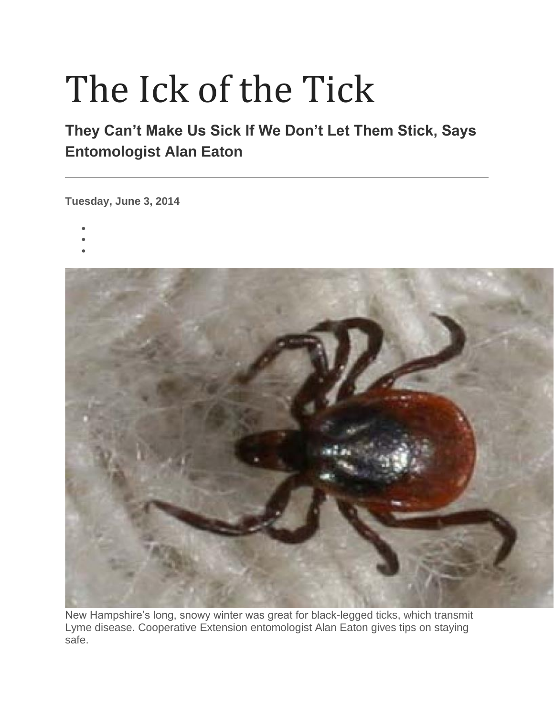## The Ick of the Tick

## **They Can't Make Us Sick If We Don't Let Them Stick, Says Entomologist Alan Eaton**

**Tuesday, June 3, 2014**

- •
- •
- •



New Hampshire's long, snowy winter was great for black-legged ticks, which transmit Lyme disease. Cooperative Extension entomologist Alan Eaton gives tips on staying safe.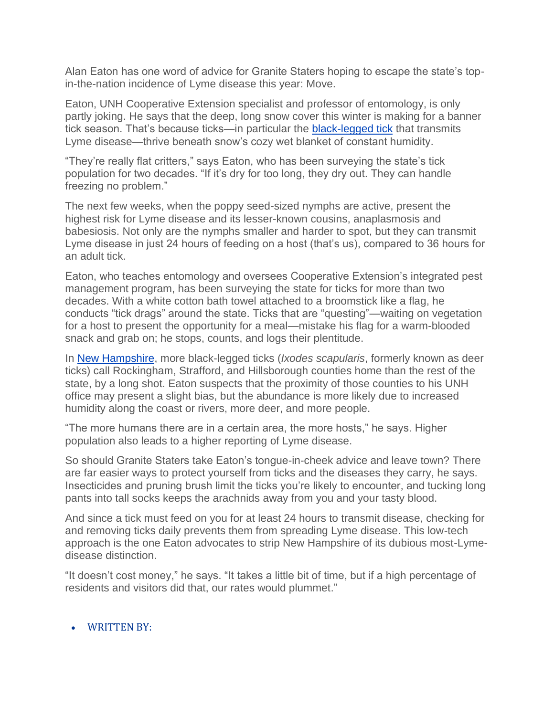Alan Eaton has one word of advice for Granite Staters hoping to escape the state's topin-the-nation incidence of Lyme disease this year: Move.

Eaton, UNH Cooperative Extension specialist and professor of entomology, is only partly joking. He says that the deep, long snow cover this winter is making for a banner tick season. That's because ticks—in particular the [black-legged tick](http://extension.unh.edu/Blacklegged-Ticks-New-Hampshire) that transmits Lyme disease—thrive beneath snow's cozy wet blanket of constant humidity.

"They're really flat critters," says Eaton, who has been surveying the state's tick population for two decades. "If it's dry for too long, they dry out. They can handle freezing no problem."

The next few weeks, when the poppy seed-sized nymphs are active, present the highest risk for Lyme disease and its lesser-known cousins, anaplasmosis and babesiosis. Not only are the nymphs smaller and harder to spot, but they can transmit Lyme disease in just 24 hours of feeding on a host (that's us), compared to 36 hours for an adult tick.

Eaton, who teaches entomology and oversees Cooperative Extension's integrated pest management program, has been surveying the state for ticks for more than two decades. With a white cotton bath towel attached to a broomstick like a flag, he conducts "tick drags" around the state. Ticks that are "questing"—waiting on vegetation for a host to present the opportunity for a meal—mistake his flag for a warm-blooded snack and grab on; he stops, counts, and logs their plentitude.

In [New Hampshire,](http://extension.unh.edu/Blacklegged-Ticks-New-Hampshire) more black-legged ticks (*Ixodes scapularis*, formerly known as deer ticks) call Rockingham, Strafford, and Hillsborough counties home than the rest of the state, by a long shot. Eaton suspects that the proximity of those counties to his UNH office may present a slight bias, but the abundance is more likely due to increased humidity along the coast or rivers, more deer, and more people.

"The more humans there are in a certain area, the more hosts," he says. Higher population also leads to a higher reporting of Lyme disease.

So should Granite Staters take Eaton's tongue-in-cheek advice and leave town? There are far easier ways to protect yourself from ticks and the diseases they carry, he says. Insecticides and pruning brush limit the ticks you're likely to encounter, and tucking long pants into tall socks keeps the arachnids away from you and your tasty blood.

And since a tick must feed on you for at least 24 hours to transmit disease, checking for and removing ticks daily prevents them from spreading Lyme disease. This low-tech approach is the one Eaton advocates to strip New Hampshire of its dubious most-Lymedisease distinction.

"It doesn't cost money," he says. "It takes a little bit of time, but if a high percentage of residents and visitors did that, our rates would plummet."

## • WRITTEN BY: